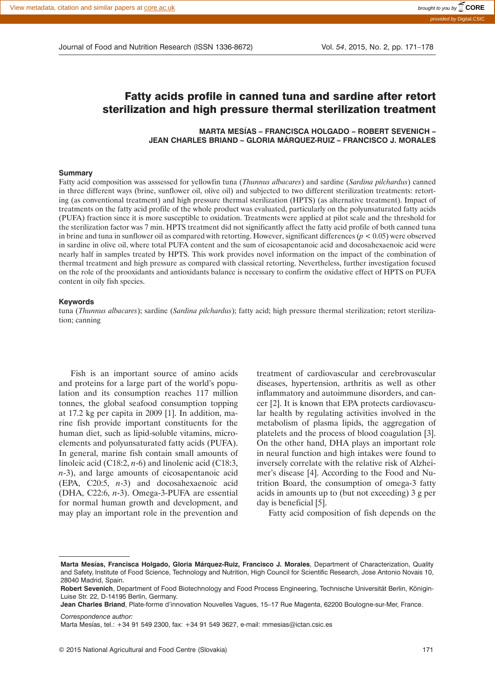Journal of Food and Nutrition Research (ISSN 1336-8672) Vol. *54*, 2015, No. 2, pp. 171–178

# Fatty acids profile in canned tuna and sardine after retort sterilization and high pressure thermal sterilization treatment

**MARTA MESÍAS – FRANCISCA HOLGADO – ROBERT SEVENICH – JEAN CHARLES BRIAND – GLORIA MÁRQUEZ-RUIZ – FRANCISCO J. MORALES**

#### **Summary**

Fatty acid composition was asssessed for yellowfin tuna (*Thunnus albacares*) and sardine (*Sardina pilchardus*) canned in three different ways (brine, sunflower oil, olive oil) and subjected to two different sterilization treatments: retorting (as conventional treatment) and high pressure thermal sterilization (HPTS) (as alternative treatment). Impact of treatments on the fatty acid profile of the whole product was evaluated, particularly on the polyunsaturated fatty acids (PUFA) fraction since it is more susceptible to oxidation. Treatments were applied at pilot scale and the threshold for the sterilization factor was 7 min. HPTS treatment did not significantly affect the fatty acid profile of both canned tuna in brine and tuna in sunflower oil as compared with retorting. However, significant differences  $(p < 0.05)$  were observed in sardine in olive oil, where total PUFA content and the sum of eicosapentanoic acid and docosahexaenoic acid were nearly half in samples treated by HPTS. This work provides novel information on the impact of the combination of thermal treatment and high pressure as compared with classical retorting. Nevertheless, further investigation focused on the role of the prooxidants and antioxidants balance is necessary to confirm the oxidative effect of HPTS on PUFA content in oily fish species.

#### **Keywords**

tuna (*Thunnus albacares*); sardine (*Sardina pilchardus*); fatty acid; high pressure thermal sterilization; retort sterilization; canning

Fish is an important source of amino acids and proteins for a large part of the world's population and its consumption reaches 117 million tonnes, the global seafood consumption topping at 17.2 kg per capita in 2009 [1]. In addition, marine fish provide important constituents for the human diet, such as lipid-soluble vitamins, microelements and polyunsaturated fatty acids (PUFA). In general, marine fish contain small amounts of linoleic acid (C18:2, *n*-6) and linolenic acid (C18:3, *n*-3), and large amounts of eicosapentanoic acid (EPA, C20:5, *n*-3) and docosahexaenoic acid (DHA, C22:6, *n*-3). Omega-3-PUFA are essential for normal human growth and development, and may play an important role in the prevention and

treatment of cardiovascular and cerebrovascular diseases, hypertension, arthritis as well as other inflammatory and autoimmune disorders, and cancer [2]. It is known that EPA protects cardiovascular health by regulating activities involved in the metabolism of plasma lipids, the aggregation of platelets and the process of blood coagulation [3]. On the other hand, DHA plays an important role in neural function and high intakes were found to inversely correlate with the relative risk of Alzheimer's disease [4]. According to the Food and Nutrition Board, the consumption of omega-3 fatty acids in amounts up to (but not exceeding) 3 g per day is beneficial [5].

Fatty acid composition of fish depends on the

*Correspondence author:*

**Marta Mesías, Francisca Holgado, Gloria Márquez-Ruiz, Francisco J. Morales**, Department of Characterization, Quality and Safety, Institute of Food Science, Technology and Nutrition, High Council for Scientific Research, Jose Antonio Novais 10, 28040 Madrid, Spain.

**Robert Sevenich**, Department of Food Biotechnology and Food Process Engineering, Technische Universität Berlin, Königin-Luise Str. 22, D-14195 Berlin, Germany.

**Jean Charles Briand**, Plate-forme d'innovation Nouvelles Vagues, 15–17 Rue Magenta, 62200 Boulogne-sur-Mer, France.

Marta Mesías, tel.: +34 91 549 2300, fax: +34 91 549 3627, e-mail: mmesias@ictan.csic.es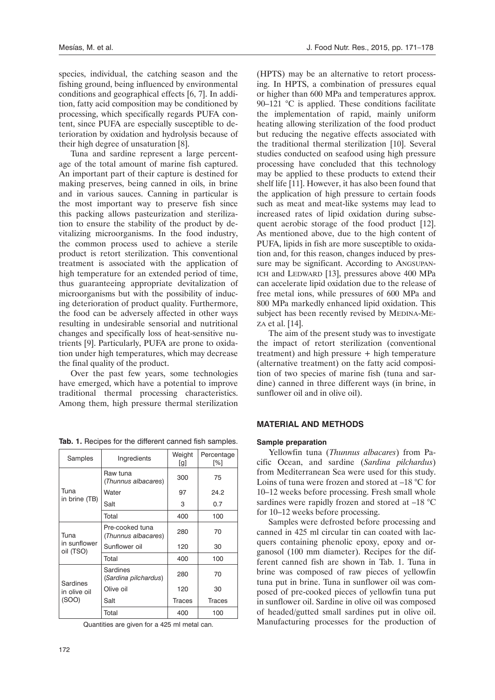species, individual, the catching season and the fishing ground, being influenced by environmental conditions and geographical effects [6, 7]. In addition, fatty acid composition may be conditioned by processing, which specifically regards PUFA content, since PUFA are especially susceptible to deterioration by oxidation and hydrolysis because of their high degree of unsaturation [8].

Tuna and sardine represent a large percentage of the total amount of marine fish captured. An important part of their capture is destined for making preserves, being canned in oils, in brine and in various sauces. Canning in particular is the most important way to preserve fish since this packing allows pasteurization and sterilization to ensure the stability of the product by devitalizing microorganisms. In the food industry, the common process used to achieve a sterile product is retort sterilization. This conventional treatment is associated with the application of high temperature for an extended period of time, thus guaranteeing appropriate devitalization of microorganisms but with the possibility of inducing deterioration of product quality. Furthermore, the food can be adversely affected in other ways resulting in undesirable sensorial and nutritional changes and specifically loss of heat-sensitive nutrients [9]. Particularly, PUFA are prone to oxidation under high temperatures, which may decrease the final quality of the product.

Over the past few years, some technologies have emerged, which have a potential to improve traditional thermal processing characteristics. Among them, high pressure thermal sterilization

| Samples                           | Ingredients                            | Weight<br>[g] | Percentage<br>[%] |  |
|-----------------------------------|----------------------------------------|---------------|-------------------|--|
|                                   | Raw tuna<br>(Thunnus albacares)        | 300           | 75                |  |
| Tuna<br>in brine (TB)             | Water                                  | 97            | 24.2              |  |
|                                   | Salt                                   | 3             | 0.7               |  |
|                                   | Total                                  | 400           | 100               |  |
| Tuna<br>in sunflower<br>oil (TSO) | Pre-cooked tuna<br>(Thunnus albacares) | 280           | 70                |  |
|                                   | Sunflower oil                          | 120           | 30                |  |
|                                   | Total                                  | 400           | 100               |  |
| Sardines<br>in olive oil<br>(SOO) | Sardines<br>(Sardina pilchardus)       | 280           | 70                |  |
|                                   | Olive oil                              | 120           | 30                |  |
|                                   | Salt                                   | <b>Traces</b> | <b>Traces</b>     |  |
|                                   | Total                                  | 400           | 100               |  |

**Tab. 1.** Recipes for the different canned fish samples.

Quantities are given for a 425 ml metal can.

(HPTS) may be an alternative to retort processing. In HPTS, a combination of pressures equal or higher than 600 MPa and temperatures approx. 90–121 °C is applied. These conditions facilitate the implementation of rapid, mainly uniform heating allowing sterilization of the food product but reducing the negative effects associated with the traditional thermal sterilization [10]. Several studies conducted on seafood using high pressure processing have concluded that this technology may be applied to these products to extend their shelf life [11]. However, it has also been found that the application of high pressure to certain foods such as meat and meat-like systems may lead to increased rates of lipid oxidation during subsequent aerobic storage of the food product [12]. As mentioned above, due to the high content of PUFA, lipids in fish are more susceptible to oxidation and, for this reason, changes induced by pressure may be significant. According to ANGSUPAN-ICH and LEDWARD [13], pressures above 400 MPa can accelerate lipid oxidation due to the release of free metal ions, while pressures of 600 MPa and 800 MPa markedly enhanced lipid oxidation. This subject has been recently revised by MEDINA-ME-ZA et al. [14].

The aim of the present study was to investigate the impact of retort sterilization (conventional treatment) and high pressure + high temperature (alternative treatment) on the fatty acid composition of two species of marine fish (tuna and sardine) canned in three different ways (in brine, in sunflower oil and in olive oil).

## **MATERIAL AND METHODS**

#### **Sample preparation**

Yellowfin tuna (*Thunnus albacares*) from Pacific Ocean, and sardine (*Sardina pilchardus*) from Mediterranean Sea were used for this study. Loins of tuna were frozen and stored at –18 °C for 10–12 weeks before processing. Fresh small whole sardines were rapidly frozen and stored at  $-18$  °C for 10–12 weeks before processing.

Samples were defrosted before processing and canned in 425 ml circular tin can coated with lacquers containing phenolic epoxy, epoxy and organosol (100 mm diameter). Recipes for the different canned fish are shown in Tab. 1. Tuna in brine was composed of raw pieces of yellowfin tuna put in brine. Tuna in sunflower oil was composed of pre-cooked pieces of yellowfin tuna put in sunflower oil. Sardine in olive oil was composed of headed/gutted small sardines put in olive oil. Manufacturing processes for the production of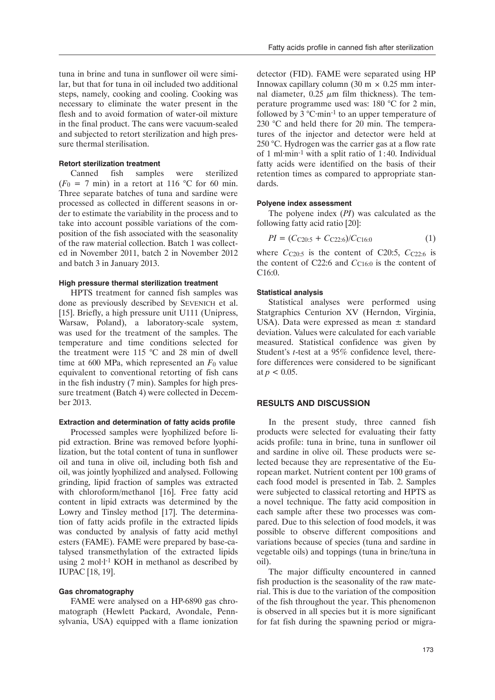tuna in brine and tuna in sunflower oil were similar, but that for tuna in oil included two additional steps, namely, cooking and cooling. Cooking was necessary to eliminate the water present in the flesh and to avoid formation of water-oil mixture in the final product. The cans were vacuum-sealed and subjected to retort sterilization and high pressure thermal sterilisation.

#### **Retort sterilization treatment**

Canned fish samples were sterilized  $(F<sub>0</sub> = 7$  min) in a retort at 116 °C for 60 min. Three separate batches of tuna and sardine were processed as collected in different seasons in order to estimate the variability in the process and to take into account possible variations of the composition of the fish associated with the seasonality of the raw material collection. Batch 1 was collected in November 2011, batch 2 in November 2012 and batch 3 in January 2013.

#### **High pressure thermal sterilization treatment**

HPTS treatment for canned fish samples was done as previously described by SEVENICH et al. [15]. Briefly, a high pressure unit U111 (Unipress, Warsaw, Poland), a laboratory-scale system, was used for the treatment of the samples. The temperature and time conditions selected for the treatment were 115 °C and 28 min of dwell time at 600 MPa, which represented an *F*0 value equivalent to conventional retorting of fish cans in the fish industry (7 min). Samples for high pressure treatment (Batch 4) were collected in December 2013.

## **Extraction and determination of fatty acids profile**

Processed samples were lyophilized before lipid extraction. Brine was removed before lyophilization, but the total content of tuna in sunflower oil and tuna in olive oil, including both fish and oil, was jointly lyophilized and analysed. Following grinding, lipid fraction of samples was extracted with chloroform/methanol [16]. Free fatty acid content in lipid extracts was determined by the Lowry and Tinsley method [17]. The determination of fatty acids profile in the extracted lipids was conducted by analysis of fatty acid methyl esters (FAME). FAME were prepared by base-catalysed transmethylation of the extracted lipids using 2 mol $\cdot$ 1<sup>-1</sup> KOH in methanol as described by IUPAC [18, 19].

#### **Gas chromatography**

FAME were analysed on a HP-6890 gas chromatograph (Hewlett Packard, Avondale, Pennsylvania, USA) equipped with a flame ionization

detector (FID). FAME were separated using HP Innowax capillary column  $(30 \text{ m} \times 0.25 \text{ mm}$  internal diameter,  $0.25 \mu m$  film thickness). The temperature programme used was: 180 °C for 2 min, followed by  $3^{\circ}$ C·min<sup>-1</sup> to an upper temperature of 230 °C and held there for 20 min. The temperatures of the injector and detector were held at 250 °C. Hydrogen was the carrier gas at a flow rate of 1 ml $\cdot$ min<sup>-1</sup> with a split ratio of 1:40. Individual fatty acids were identified on the basis of their retention times as compared to appropriate standards.

#### **Polyene index assessment**

The polyene index (*PI*) was calculated as the following fatty acid ratio [20]:

$$
PI = (CC20:5 + CC22:6)/CC16:0
$$
 (1)

where  $C_{C20:5}$  is the content of C20:5,  $C_{C22:6}$  is the content of C22:6 and  $C_{C16:0}$  is the content of C16:0.

## **Statistical analysis**

Statistical analyses were performed using Statgraphics Centurion XV (Herndon, Virginia, USA). Data were expressed as mean ± standard deviation. Values were calculated for each variable measured. Statistical confidence was given by Student's *t*-test at a 95% confidence level, therefore differences were considered to be significant at  $p < 0.05$ .

### **RESULTS AND DISCUSSION**

In the present study, three canned fish products were selected for evaluating their fatty acids profile: tuna in brine, tuna in sunflower oil and sardine in olive oil. These products were selected because they are representative of the European market. Nutrient content per 100 grams of each food model is presented in Tab. 2. Samples were subjected to classical retorting and HPTS as a novel technique. The fatty acid composition in each sample after these two processes was compared. Due to this selection of food models, it was possible to observe different compositions and variations because of species (tuna and sardine in vegetable oils) and toppings (tuna in brine/tuna in oil).

The major difficulty encountered in canned fish production is the seasonality of the raw material. This is due to the variation of the composition of the fish throughout the year. This phenomenon is observed in all species but it is more significant for fat fish during the spawning period or migra-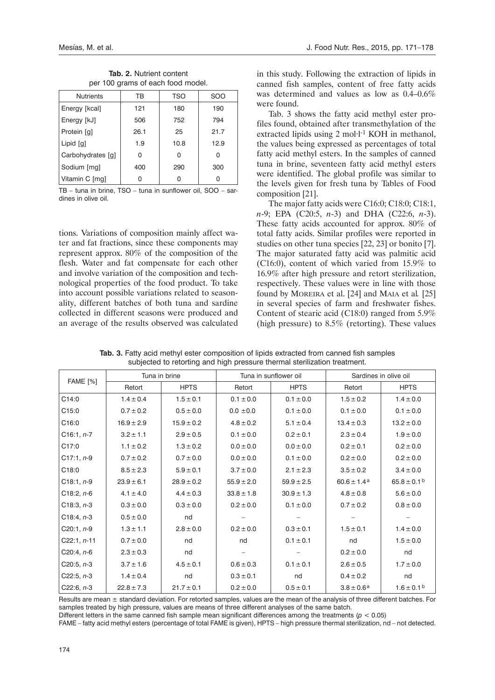|  | <b>Tab. 2. Nutrient content</b> |  |                                   |
|--|---------------------------------|--|-----------------------------------|
|  |                                 |  | per 100 grams of each food model. |

| <b>Nutrients</b>  | ТB   | TSO  | <b>SOO</b> |
|-------------------|------|------|------------|
| Energy [kcal]     | 121  | 180  | 190        |
| Energy [kJ]       | 506  | 752  | 794        |
| Protein [g]       | 26.1 | 25   | 21.7       |
| Lipid [g]         | 1.9  | 10.8 | 12.9       |
| Carbohydrates [g] | 0    | 0    | 0          |
| Sodium [mg]       | 400  | 290  | 300        |
| Vitamin C [mg]    |      | U    |            |

TB – tuna in brine, TSO – tuna in sunflower oil, SOO – sardines in olive oil.

tions. Variations of composition mainly affect water and fat fractions, since these components may represent approx. 80% of the composition of the flesh. Water and fat compensate for each other and involve variation of the composition and technological properties of the food product. To take into account possible variations related to seasonality, different batches of both tuna and sardine collected in different seasons were produced and an average of the results observed was calculated

in this study. Following the extraction of lipids in canned fish samples, content of free fatty acids was determined and values as low as  $0.4$ – $0.6\%$ were found.

Tab. 3 shows the fatty acid methyl ester profiles found, obtained after transmethylation of the extracted lipids using 2 mol·l<sup>-1</sup> KOH in methanol, the values being expressed as percentages of total fatty acid methyl esters. In the samples of canned tuna in brine, seventeen fatty acid methyl esters were identified. The global profile was similar to the levels given for fresh tuna by Tables of Food composition [21].

The major fatty acids were C16:0; C18:0; C18:1, *n*-9; EPA (C20:5, *n*-3) and DHA (C22:6, *n*-3). These fatty acids accounted for approx. 80% of total fatty acids. Similar profiles were reported in studies on other tuna species [22, 23] or bonito [7]. The major saturated fatty acid was palmitic acid (C16:0), content of which varied from 15.9% to 16.9% after high pressure and retort sterilization, respectively. These values were in line with those found by MOREIRA et al. [24] and MAIA et al*.* [25] in several species of farm and freshwater fishes. Content of stearic acid (C18:0) ranged from 5.9% (high pressure) to 8.5% (retorting). These values

| <b>FAME</b> [%] | Tuna in brine  |                | Tuna in sunflower oil |                | Sardines in olive oil       |                       |
|-----------------|----------------|----------------|-----------------------|----------------|-----------------------------|-----------------------|
|                 | Retort         | <b>HPTS</b>    | Retort                | <b>HPTS</b>    | Retort                      | <b>HPTS</b>           |
| C14:0           | $1.4 \pm 0.4$  | $1.5 \pm 0.1$  | $0.1 \pm 0.0$         | $0.1 \pm 0.0$  | $1.5 \pm 0.2$               | $1.4 \pm 0.0$         |
| C15:0           | $0.7 \pm 0.2$  | $0.5 \pm 0.0$  | $0.0 \pm 0.0$         | $0.1 \pm 0.0$  | $0.1 \pm 0.0$               | $0.1 \pm 0.0$         |
| C16:0           | $16.9 \pm 2.9$ | $15.9 \pm 0.2$ | $4.8 \pm 0.2$         | $5.1 \pm 0.4$  | $13.4 \pm 0.3$              | $13.2 \pm 0.0$        |
| $C16:1, n-7$    | $3.2 \pm 1.1$  | $2.9 \pm 0.5$  | $0.1 \pm 0.0$         | $0.2 \pm 0.1$  | $2.3 \pm 0.4$               | $1.9 \pm 0.0$         |
| C17:0           | $1.1 \pm 0.2$  | $1.3 \pm 0.2$  | $0.0 \pm 0.0$         | $0.0 \pm 0.0$  | $0.2 \pm 0.1$               | $0.2 \pm 0.0$         |
| $C17:1, n-9$    | $0.7 \pm 0.2$  | $0.7 \pm 0.0$  | $0.0 \pm 0.0$         | $0.1 \pm 0.0$  | $0.2 \pm 0.0$               | $0.2 \pm 0.0$         |
| C18:0           | $8.5 \pm 2.3$  | $5.9 \pm 0.1$  | $3.7 \pm 0.0$         | $2.1 \pm 2.3$  | $3.5 \pm 0.2$               | $3.4 \pm 0.0$         |
| $C18:1, n-9$    | $23.9 \pm 6.1$ | $28.9 \pm 0.2$ | $55.9 \pm 2.0$        | $59.9 \pm 2.5$ | $60.6 \pm 1.4$ <sup>a</sup> | $65.8 \pm 0.1$ b      |
| $C18:2, n-6$    | $4.1 \pm 4.0$  | $4.4 \pm 0.3$  | $33.8 \pm 1.8$        | $30.9 \pm 1.3$ | $4.8 \pm 0.8$               | $5.6 \pm 0.0$         |
| $C18:3, n-3$    | $0.3 \pm 0.0$  | $0.3 \pm 0.0$  | $0.2 \pm 0.0$         | $0.1 \pm 0.0$  | $0.7 \pm 0.2$               | $0.8 \pm 0.0$         |
| $C18:4, n-3$    | $0.5 \pm 0.0$  | nd             |                       |                |                             |                       |
| $C20:1, n-9$    | $1.3 \pm 1.1$  | $2.8 \pm 0.0$  | $0.2 \pm 0.0$         | $0.3 \pm 0.1$  | $1.5 \pm 0.1$               | $1.4 \pm 0.0$         |
| $C22:1, n-11$   | $0.7 \pm 0.0$  | nd             | nd                    | $0.1 \pm 0.1$  | nd                          | $1.5 \pm 0.0$         |
| $C20:4, n-6$    | $2.3 \pm 0.3$  | nd             |                       |                | $0.2 \pm 0.0$               | nd                    |
| $C20:5, n-3$    | $3.7 \pm 1.6$  | $4.5 \pm 0.1$  | $0.6 \pm 0.3$         | $0.1 \pm 0.1$  | $2.6 \pm 0.5$               | $1.7 \pm 0.0$         |
| $C22:5, n-3$    | $1.4 \pm 0.4$  | nd             | $0.3 \pm 0.1$         | nd             | $0.4 \pm 0.2$               | nd                    |
| $C22:6, n-3$    | $22.8 \pm 7.3$ | $21.7 \pm 0.1$ | $0.2 \pm 0.0$         | $0.5 \pm 0.1$  | $3.8 \pm 0.6^a$             | $1.6 \pm 0.1^{\circ}$ |

**Tab. 3.** Fatty acid methyl ester composition of lipids extracted from canned fish samples subjected to retorting and high pressure thermal sterilization treatment.

Results are mean  $\pm$  standard deviation. For retorted samples, values are the mean of the analysis of three different batches. For samples treated by high pressure, values are means of three different analyses of the same batch.

Different letters in the same canned fish sample mean significant differences among the treatments (*p* < 0.05)

FAME – fatty acid methyl esters (percentage of total FAME is given), HPTS – high pressure thermal sterilization, nd – not detected.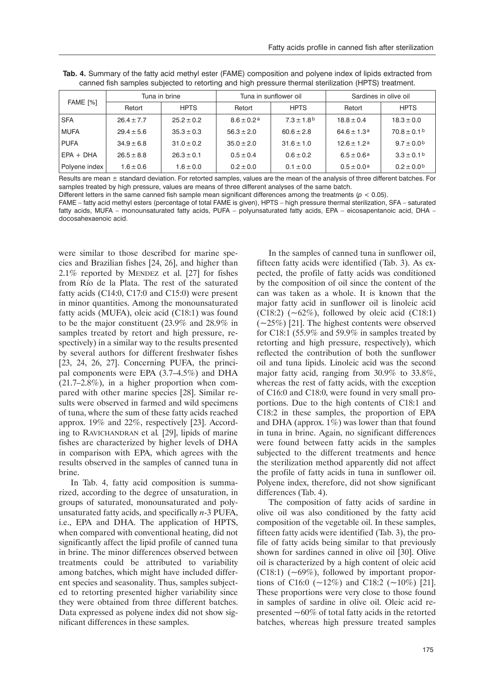| <b>FAME [%]</b> | Tuna in brine  |                | Tuna in sunflower oil |                            | Sardines in olive oil |                            |
|-----------------|----------------|----------------|-----------------------|----------------------------|-----------------------|----------------------------|
|                 | Retort         | <b>HPTS</b>    | Retort                | <b>HPTS</b>                | Retort                | <b>HPTS</b>                |
| <b>SFA</b>      | $26.4 \pm 7.7$ | $25.2 \pm 0.2$ | $8.6 \pm 0.2a$        | $7.3 \pm 1.8$ <sup>b</sup> | $18.8 \pm 0.4$        | $18.3 \pm 0.0$             |
| <b>MUFA</b>     | $29.4 \pm 5.6$ | $35.3 \pm 0.3$ | $56.3 \pm 2.0$        | $60.6 \pm 2.8$             | $64.6 \pm 1.3a$       | $70.8 \pm 0.1$ b           |
| <b>PUFA</b>     | $34.9 \pm 6.8$ | $31.0 \pm 0.2$ | $35.0 \pm 2.0$        | $31.6 \pm 1.0$             | $12.6 \pm 1.2a$       | $9.7 \pm 0.0$ <sup>b</sup> |
| $EPA + DHA$     | $26.5 \pm 8.8$ | $26.3 \pm 0.1$ | $0.5 \pm 0.4$         | $0.6 \pm 0.2$              | $6.5 \pm 0.6a$        | $3.3 \pm 0.1$ b            |
| Polyene index   | $1.6 \pm 0.6$  | $1.6 \pm 0.0$  | $0.2 \pm 0.0$         | $0.1 \pm 0.0$              | $0.5 \pm 0.0$ a       | $0.2 \pm 0.0$              |

**Tab. 4.** Summary of the fatty acid methyl ester (FAME) composition and polyene index of lipids extracted from canned fish samples subjected to retorting and high pressure thermal sterilization (HPTS) treatment.

Results are mean ± standard deviation. For retorted samples, values are the mean of the analysis of three different batches. For samples treated by high pressure, values are means of three different analyses of the same batch.

Different letters in the same canned fish sample mean significant differences among the treatments (*p* < 0.05).

FAME – fatty acid methyl esters (percentage of total FAME is given), HPTS – high pressure thermal sterilization, SFA – saturated fatty acids, MUFA – monounsaturated fatty acids, PUFA – polyunsaturated fatty acids, EPA – eicosapentanoic acid, DHA – docosahexaenoic acid.

were similar to those described for marine species and Brazilian fishes [24, 26], and higher than 2.1% reported by MENDEZ et al. [27] for fishes from Río de la Plata. The rest of the saturated fatty acids (C14:0, C17:0 and C15:0) were present in minor quantities. Among the monounsaturated fatty acids (MUFA), oleic acid (C18:1) was found to be the major constituent (23.9% and 28.9% in samples treated by retort and high pressure, respectively) in a similar way to the results presented by several authors for different freshwater fishes [23, 24, 26, 27]. Concerning PUFA, the principal components were EPA (3.7–4.5%) and DHA (21.7–2.8%), in a higher proportion when compared with other marine species [28]. Similar results were observed in farmed and wild specimens of tuna, where the sum of these fatty acids reached approx. 19% and 22%, respectively [23]. According to RAVICHANDRAN et al*.* [29], lipids of marine fishes are characterized by higher levels of DHA in comparison with EPA, which agrees with the results observed in the samples of canned tuna in brine.

In Tab. 4, fatty acid composition is summarized, according to the degree of unsaturation, in groups of saturated, monounsaturated and polyunsaturated fatty acids, and specifically *n*-3 PUFA, i.e., EPA and DHA. The application of HPTS, when compared with conventional heating, did not significantly affect the lipid profile of canned tuna in brine. The minor differences observed between treatments could be attributed to variability among batches, which might have included different species and seasonality. Thus, samples subjected to retorting presented higher variability since they were obtained from three different batches. Data expressed as polyene index did not show significant differences in these samples.

In the samples of canned tuna in sunflower oil, fifteen fatty acids were identified (Tab. 3). As expected, the profile of fatty acids was conditioned by the composition of oil since the content of the can was taken as a whole. It is known that the major fatty acid in sunflower oil is linoleic acid (C18:2)  $(-62\%)$ , followed by oleic acid (C18:1)  $(-25%)$  [21]. The highest contents were observed for C18:1 (55.9% and 59.9% in samples treated by retorting and high pressure, respectively), which reflected the contribution of both the sunflower oil and tuna lipids. Linoleic acid was the second major fatty acid, ranging from 30.9% to 33.8%, whereas the rest of fatty acids, with the exception of C16:0 and C18:0, were found in very small proportions. Due to the high contents of C18:1 and C18:2 in these samples, the proportion of EPA and DHA (approx.  $1\%$ ) was lower than that found in tuna in brine. Again, no significant differences were found between fatty acids in the samples subjected to the different treatments and hence the sterilization method apparently did not affect the profile of fatty acids in tuna in sunflower oil. Polyene index, therefore, did not show significant differences (Tab. 4).

The composition of fatty acids of sardine in olive oil was also conditioned by the fatty acid composition of the vegetable oil. In these samples, fifteen fatty acids were identified (Tab. 3), the profile of fatty acids being similar to that previously shown for sardines canned in olive oil [30]. Olive oil is characterized by a high content of oleic acid (C18:1)  $(-69\%)$ , followed by important proportions of C16:0 ( $\sim$ 12%) and C18:2 ( $\sim$ 10%) [21]. These proportions were very close to those found in samples of sardine in olive oil. Oleic acid represented  $\sim 60\%$  of total fatty acids in the retorted batches, whereas high pressure treated samples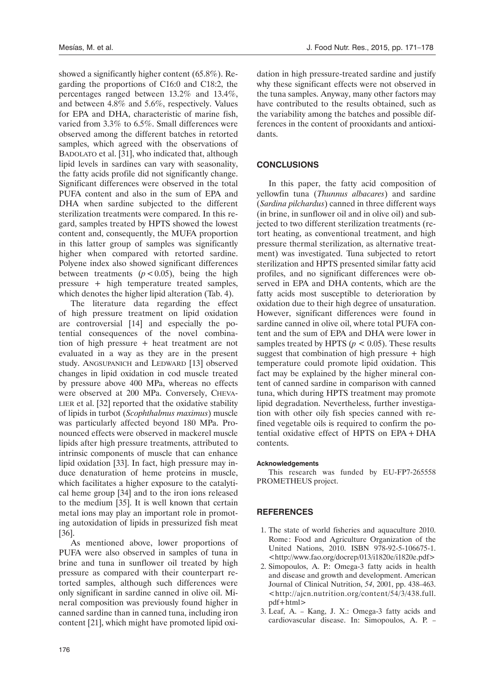showed a significantly higher content (65.8%). Regarding the proportions of C16:0 and C18:2, the percentages ranged between 13.2% and 13.4%, and between 4.8% and 5.6%, respectively. Values for EPA and DHA, characteristic of marine fish, varied from 3.3% to 6.5%. Small differences were observed among the different batches in retorted samples, which agreed with the observations of BADOLATO et al. [31], who indicated that, although lipid levels in sardines can vary with seasonality, the fatty acids profile did not significantly change. Significant differences were observed in the total PUFA content and also in the sum of EPA and DHA when sardine subjected to the different sterilization treatments were compared. In this regard, samples treated by HPTS showed the lowest content and, consequently, the MUFA proportion in this latter group of samples was significantly higher when compared with retorted sardine. Polyene index also showed significant differences between treatments  $(p < 0.05)$ , being the high pressure + high temperature treated samples, which denotes the higher lipid alteration (Tab. 4).

The literature data regarding the effect of high pressure treatment on lipid oxidation are controversial [14] and especially the potential consequences of the novel combination of high pressure + heat treatment are not evaluated in a way as they are in the present study. ANGSUPANICH and LEDWARD [13] observed changes in lipid oxidation in cod muscle treated by pressure above 400 MPa, whereas no effects were observed at 200 MPa. Conversely, CHEVA-LIER et al. [32] reported that the oxidative stability of lipids in turbot (*Scophthalmus maximus*) muscle was particularly affected beyond 180 MPa. Pronounced effects were observed in mackerel muscle lipids after high pressure treatments, attributed to intrinsic components of muscle that can enhance lipid oxidation [33]. In fact, high pressure may induce denaturation of heme proteins in muscle, which facilitates a higher exposure to the catalytical heme group [34] and to the iron ions released to the medium [35]. It is well known that certain metal ions may play an important role in promoting autoxidation of lipids in pressurized fish meat [36].

As mentioned above, lower proportions of PUFA were also observed in samples of tuna in brine and tuna in sunflower oil treated by high pressure as compared with their counterpart retorted samples, although such differences were only significant in sardine canned in olive oil. Mineral composition was previously found higher in canned sardine than in canned tuna, including iron content [21], which might have promoted lipid oxidation in high pressure-treated sardine and justify why these significant effects were not observed in the tuna samples. Anyway, many other factors may have contributed to the results obtained, such as the variability among the batches and possible differences in the content of prooxidants and antioxidants.

## **CONCLUSIONS**

In this paper, the fatty acid composition of yellowfin tuna (*Thunnus albacares*) and sardine (*Sardina pilchardus*) canned in three different ways (in brine, in sunflower oil and in olive oil) and subjected to two different sterilization treatments (retort heating, as conventional treatment, and high pressure thermal sterilization, as alternative treatment) was investigated. Tuna subjected to retort sterilization and HPTS presented similar fatty acid profiles, and no significant differences were observed in EPA and DHA contents, which are the fatty acids most susceptible to deterioration by oxidation due to their high degree of unsaturation. However, significant differences were found in sardine canned in olive oil, where total PUFA content and the sum of EPA and DHA were lower in samples treated by HPTS ( $p < 0.05$ ). These results suggest that combination of high pressure + high temperature could promote lipid oxidation. This fact may be explained by the higher mineral content of canned sardine in comparison with canned tuna, which during HPTS treatment may promote lipid degradation. Nevertheless, further investigation with other oily fish species canned with refined vegetable oils is required to confirm the potential oxidative effect of HPTS on EPA + DHA contents.

#### **Acknowledgements**

This research was funded by EU-FP7-265558 PROMETHEUS project.

## **REFERENCES**

- 1. The state of world fisheries and aquaculture 2010. Rome : Food and Agriculture Organization of the United Nations, 2010. ISBN 978-92-5-106675-1. <http://www.fao.org/docrep/013/i1820e/i1820e.pdf>
- 2. Simopoulos, A. P.: Omega-3 fatty acids in health and disease and growth and development. American Journal of Clinical Nutrition, *54*, 2001, pp. 438–463. <http://ajcn.nutrition.org/content/54/3/438.full. pdf+html>
- 3. Leaf, A. Kang, J. X.: Omega-3 fatty acids and cardiovascular disease. In: Simopoulos, A. P. –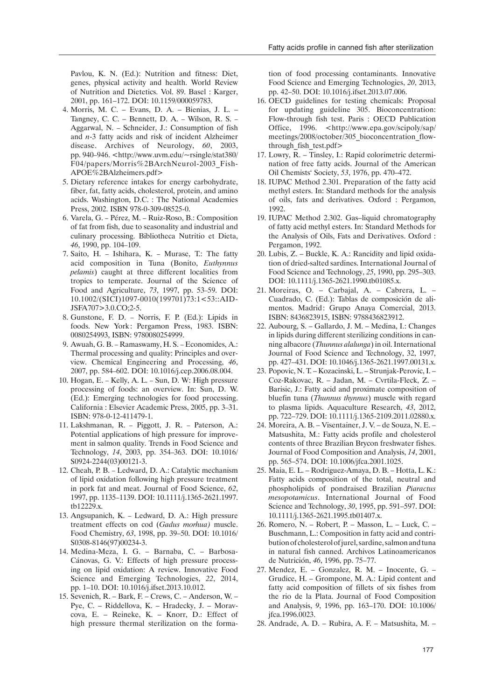Pavlou, K. N. (Ed.): Nutrition and fitness: Diet, genes, physical activity and health. World Review of Nutrition and Dietetics. Vol. 89. Basel : Karger, 2001, pp. 161–172. DOI: 10.1159/000059783.

- 4. Morris, M. C. Evans, D. A. Bienias, J. L. Tangney, C. C. – Bennett, D. A. – Wilson, R. S. – Aggarwal, N. – Schneider, J.: Consumption of fish and *n*-3 fatty acids and risk of incident Alzheimer disease. Archives of Neurology, *60*, 2003, pp. 940–946. <http://www.uvm.edu/~rsingle/stat380/ F04/papers/Morris%2BArchNeurol-2003\_Fish-APOE%2BAlzheimers.pdf>
- 5. Dietary reference intakes for energy carbohydrate, fiber, fat, fatty acids, cholesterol, protein, and amino acids. Washington, D.C. : The National Academies Press, 2002. ISBN 978-0-309-08525-0.
- 6. Varela, G. Pérez, M. Ruiz-Roso, B.: Composition of fat from fish, due to seasonality and industrial and culinary processing. Bibliotheca Nutritio et Dieta, *46*, 1990, pp. 104–109.
- 7. Saito, H. Ishihara, K. Murase, T.: The fatty acid composition in Tuna (Bonito, *Euthynnus pelamis*) caught at three different localities from tropics to temperate. Journal of the Science of Food and Agriculture, *73*, 1997, pp. 53–59. DOI: 10.1002/(SICI)1097-0010(199701)73:1<53::AID-JSFA707>3.0.CO;2-5.
- 8. Gunstone, F. D. Norris, F. P. (Ed.): Lipids in foods. New York: Pergamon Press, 1983. ISBN: 0080254993, ISBN: 9780080254999.
- 9. Awuah, G. B. Ramaswamy, H. S. Economides, A.: Thermal processing and quality: Principles and overview. Chemical Engineering and Processing, *46*, 2007, pp. 584–602. DOI: 10.1016/j.cep.2006.08.004.
- 10. Hogan, E. Kelly, A. L. Sun, D. W: High pressure processing of foods: an overview. In: Sun, D. W. (Ed.): Emerging technologies for food processing. California : Elsevier Academic Press, 2005, pp. 3–31. ISBN: 978-0-12-411479-1.
- 11. Lakshmanan, R. Piggott, J. R. Paterson, A.: Potential applications of high pressure for improvement in salmon quality. Trends in Food Science and Technology, *14*, 2003, pp. 354–363. DOI: 10.1016/ S0924-2244(03)00121-3.
- 12. Cheah, P. B. Ledward, D. A.: Catalytic mechanism of lipid oxidation following high pressure treatment in pork fat and meat. Journal of Food Science, *62*, 1997, pp. 1135–1139. DOI: 10.1111/j.1365-2621.1997. tb12229.x.
- 13. Angsupanich, K. Ledward, D. A.: High pressure treatment effects on cod (*Gadus morhua)* muscle. Food Chemistry, *63*, 1998, pp. 39–50. DOI: 10.1016/ S0308-8146(97)00234-3.
- 14. Medina-Meza, I. G. Barnaba, C. Barbosa-Cánovas, G. V.: Effects of high pressure processing on lipid oxidation: A review. Innovative Food Science and Emerging Technologies, *22*, 2014, pp. 1–10. DOI: 10.1016/j.ifset.2013.10.012.
- 15. Sevenich, R. Bark, F. Crews, C. Anderson, W. Pye, C. – Riddellova, K. – Hradecky, J. – Moravcova, E. – Reineke, K. – Knorr, D.: Effect of high pressure thermal sterilization on the forma-

tion of food processing contaminants. Innovative Food Science and Emerging Technologies, *20*, 2013, pp. 42–50. DOI: 10.1016/j.ifset.2013.07.006.

- 16. OECD guidelines for testing chemicals: Proposal for updating guideline 305. Bioconcentration: Flow-through fish test. Paris : OECD Publication Office, 1996. <http://www.epa.gov/scipoly/sap/ meetings/2008/october/305\_bioconcentration\_flowthrough fish test.pdf>
- 17. Lowry, R. Tinsley, I.: Rapid colorimetric determination of free fatty acids. Journal of the American Oil Chemists' Society, *53*, 1976, pp. 470–472.
- 18. IUPAC Method 2.301. Preparation of the fatty acid methyl esters. In: Standard methods for the analysis of oils, fats and derivatives. Oxford : Pergamon, 1992.
- 19. IUPAC Method 2.302. Gas–liquid chromatography of fatty acid methyl esters. In: Standard Methods for the Analysis of Oils, Fats and Derivatives. Oxford : Pergamon, 1992.
- 20. Lubis, Z. Buckle, K. A.: Rancidity and lipid oxidation of dried-salted sardines. International Journal of Food Science and Technology, *25*, 1990, pp. 295–303. DOI: 10.1111/j.1365-2621.1990.tb01085.x.
- 21. Moreiras, O. Carbajal, A. Cabrera, L. Cuadrado, C. (Ed.): Tablas de composición de alimentos. Madrid: Grupo Anaya Comercial, 2013. ISBN: 8436823915, ISBN: 9788436823912.
- 22. Aubourg, S. Gallardo, J. M. Medina, I.: Changes in lipids during different sterilizing conditions in canning albacore (*Thunnus alalunga*) in oil. International Journal of Food Science and Technology, 32, 1997, pp. 427–431. DOI: 10.1046/j.1365-2621.1997.00131.x.
- 23. Popovic, N. T. Kozacinski, L. Strunjak-Perovic, I. Coz-Rakovac, R. – Jadan, M. – Cvrtila-Fleck, Z. – Barisic, J.: Fatty acid and proximate composition of bluefin tuna (*Thunnus thynnus*) muscle with regard to plasma lipids. Aquaculture Research, *43*, 2012, pp. 722–729. DOI: 10.1111/j.1365-2109.2011.02880.x.
- 24. Moreira, A. B. Visentainer, J. V. de Souza, N. E. Matsushita, M.: Fatty acids profile and cholesterol contents of three Brazilian Brycon freshwater fishes. Journal of Food Composition and Analysis, *14*, 2001, pp. 565–574. DOI: 10.1006/jfca.2001.1025.
- 25. Maia, E. L. Rodriguez-Amaya, D. B. Hotta, L. K.: Fatty acids composition of the total, neutral and phospholipids of pondraised Brazilian *Piaractus mesopotamicus*. International Journal of Food Science and Technology, *30*, 1995, pp. 591–597. DOI: 10.1111/j.1365-2621.1995.tb01407.x.
- 26. Romero, N. Robert, P. Masson, L. Luck, C. Buschmann, L.: Composition in fatty acid and contribution of cholesterol of jurel, sardine, salmon and tuna in natural fish canned. Archivos Latinoamericanos de Nutrición, *46*, 1996, pp. 75–77.
- 27. Mendez, E. Gonzalez, R. M. Inocente, G. Grudice, H. – Grompone, M. A.: Lipid content and fatty acid composition of fillets of six fishes from the rio de la Plata. Journal of Food Composition and Analysis, *9*, 1996, pp. 163–170. DOI: 10.1006/ jfca.1996.0023.
- 28. Andrade, A. D. Rubira, A. F. Matsushita, M. –